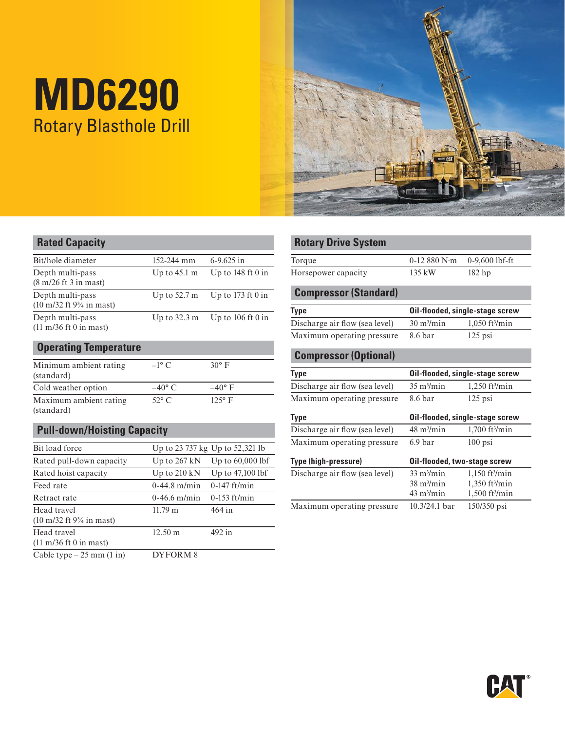# **MD6290**  Rotary Blasthole Drill



| <b>Rated Capacity</b>                                                         |                        |                                     | <b>ROTARY Drive System</b>     |                                |                                 |
|-------------------------------------------------------------------------------|------------------------|-------------------------------------|--------------------------------|--------------------------------|---------------------------------|
| Bit/hole diameter                                                             | 152-244 mm             | $6-9.625$ in                        | Torque                         | $0-12880$ N $\cdot$ m          | $0-9.600$ lbf-ft                |
| Depth multi-pass<br>$(8 \text{ m}/26 \text{ ft} 3 \text{ in } \text{ mast})$  | Up to $45.1 \text{ m}$ | Up to $148 \text{ ft}$ 0 in         | Horsepower capacity            | 135 kW                         | $182$ hp                        |
| Depth multi-pass                                                              | Up to $52.7 \text{ m}$ | Up to $173 \text{ ft} 0$ in         | <b>Compressor (Standard)</b>   |                                |                                 |
| $(10 \text{ m}/32 \text{ ft } 9\frac{3}{4} \text{ in } \text{ mast})$         |                        |                                     | <b>Type</b>                    |                                | Oil-flooded, single-stage screv |
| Depth multi-pass<br>$(11 \text{ m}/36 \text{ ft} 0 \text{ in } \text{ mast})$ | Up to $32.3 \text{ m}$ | Up to $106 \text{ ft} 0 \text{ in}$ | Discharge air flow (sea level) | $30 \frac{\text{m}}{\text{m}}$ | $1,050$ ft <sup>3</sup> /min    |
|                                                                               |                        |                                     | Maximum operating pressure     | 8.6 bar                        | $125$ psi                       |
| $\overline{\phantom{a}}$                                                      |                        |                                     |                                |                                |                                 |

| <b>Operating Temperature</b>         |                 |                 |
|--------------------------------------|-----------------|-----------------|
| Minimum ambient rating<br>(standard) | $-1^\circ$ C    | $30^\circ$ F    |
| Cold weather option                  | $-40^{\circ}$ C | $-40^{\circ}$ F |

## Maximum ambient rating  $52^{\circ}$  C 125° F (standard) **Pull-down/Hoisting Capacity**

|                                                                                      |                        |                                 | Maximum operating pressure     | 6.9 bar                     | $100$ psi                    |
|--------------------------------------------------------------------------------------|------------------------|---------------------------------|--------------------------------|-----------------------------|------------------------------|
| Bit load force                                                                       |                        | Up to 23 737 kg Up to 52,321 lb |                                |                             |                              |
| Rated pull-down capacity                                                             | Up to $267$ kN         | Up to $60,000$ lbf              | Type (high-pressure)           |                             | Oil-flooded, two-stage screw |
| Rated hoist capacity                                                                 | Up to $210 \text{ kN}$ | Up to $47,100$ lbf              | Discharge air flow (sea level) | $33 \text{ m}^3/\text{min}$ | $1.150$ ft <sup>3</sup> /min |
| Feed rate                                                                            | $0-44.8$ m/min         | $0-147$ ft/min                  |                                | $38 \text{ m}^3/\text{min}$ | $1,350$ ft $\frac{3}{min}$   |
| Retract rate                                                                         | $0-46.6$ m/min         | $0-153$ ft/min                  |                                | $43 \text{ m}^3/\text{min}$ | $1,500$ ft <sup>3</sup> /min |
| Head travel<br>$(10 \text{ m}/32 \text{ ft } 9\frac{3}{4} \text{ in } \text{ mast})$ | $11.79 \text{ m}$      | $464$ in                        | Maximum operating pressure     | $10.3/24.1$ bar             | 150/350 psi                  |
| Head travel<br>$(11 \text{ m}/36 \text{ ft} 0 \text{ in mast})$                      | $12.50 \text{ m}$      | $492$ in                        |                                |                             |                              |
| Cable type $-25$ mm $(1 \text{ in})$                                                 | DYFORM <sub>8</sub>    |                                 |                                |                             |                              |

#### **Rotary Drive System**

| Torque              |                  | $0-12880$ N·m $0-9,600$ lbf-ft |  |
|---------------------|------------------|--------------------------------|--|
| Horsepower capacity | $135 \text{ kW}$ | $182$ hp                       |  |

#### $\overline{\mathbf{F}_{\text{in}}}$  **Compressor (Standard)**

| <b>Type</b>                    | Oil-flooded, single-stage screw    |                              |  |  |
|--------------------------------|------------------------------------|------------------------------|--|--|
| Discharge air flow (sea level) | $30 \frac{\text{m}^3}{\text{min}}$ | $1,050$ ft <sup>3</sup> /min |  |  |
| Maximum operating pressure     | 8.6 bar                            | $125$ psi                    |  |  |

### **Compressor (Optional)**

| Minimum ambient rating |                 | ⊃∪∸             |                                    |                             |                                 |  |  |
|------------------------|-----------------|-----------------|------------------------------------|-----------------------------|---------------------------------|--|--|
| (standard)             |                 |                 | Type                               |                             | Oil-flooded, single-stage screw |  |  |
| Cold weather option    | $-40^{\circ}$ C | $-40^{\circ}$ F | Discharge air flow (sea level)     | $35 \text{ m}^3/\text{min}$ | $1.250$ ft <sup>3</sup> /min    |  |  |
| Maximum ambient rating | $52^{\circ}$ C  | $1250$ $\Gamma$ | Maximum operating pressure 8.6 bar |                             | $125$ psi                       |  |  |

| (standard)                         |                        |                                 | Type                           |                              | Oil-flooded, single-stage screw |
|------------------------------------|------------------------|---------------------------------|--------------------------------|------------------------------|---------------------------------|
| <b>Pull-down/Hoisting Capacity</b> |                        |                                 | Discharge air flow (sea level) | $48 \text{ m}^3/\text{min}$  | $1,700$ ft <sup>3</sup> /min    |
| Bit load force                     |                        | Up to 23 737 kg Up to 52,321 lb | Maximum operating pressure     | 6.9 <sub>bar</sub>           | $100$ psi                       |
| Rated pull-down capacity           | Up to $267$ kN         | Up to $60,000$ lbf              | Type (high-pressure)           | Oil-flooded, two-stage screw |                                 |
| Rated hoist capacity               | Up to $210 \text{ kN}$ | Up to $47,100$ lbf              | Discharge air flow (sea level) | $33 \text{ m}^3/\text{min}$  | $1.150$ ft <sup>3</sup> /min    |
| Feed rate                          | $0-44.8$ m/min         | $0-147$ ft/min                  |                                | $38 \text{ m}^3/\text{min}$  | $1,350$ ft <sup>3</sup> /min    |
| Retract rate                       | $0-46.6$ m/min         | $0-153$ ft/min                  |                                | $43 \text{ m}^3/\text{min}$  | $1,500$ ft <sup>3</sup> /min    |
| Head travel                        | $11.79 \text{ m}$      | 464 in                          | Maximum operating pressure     | $10.3/24.1$ bar              | 150/350 psi                     |

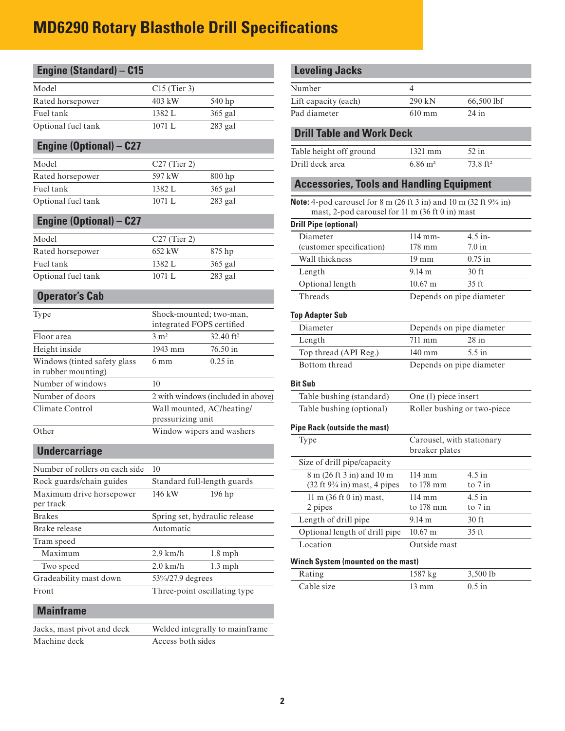### **MD6290 Rotary Blasthole Drill Specifications**

| $C15$ (Tier 3)<br>Number<br>4<br>403 kW<br>Lift capacity (each)<br>290 kN<br>66,500 lbf<br>Rated horsepower<br>540 hp<br>Pad diameter<br>Fuel tank<br>1382 L<br>365 gal<br>610 mm<br>$24$ in<br>1071 L<br>283 gal<br><b>Drill Table and Work Deck</b><br><b>Engine (Optional) - C27</b><br>52 in<br>Table height off ground<br>1321 mm<br>Model<br>Drill deck area<br>$6.86 \; \mathrm{m}^2$<br>73.8 ft <sup>2</sup><br>$C27$ (Tier 2)<br>597 kW<br>800 hp<br>Rated horsepower<br><b>Accessories, Tools and Handling Equipment</b><br>Fuel tank<br>1382 L<br>365 gal<br>Optional fuel tank<br>1071 L<br>283 gal<br><b>Note:</b> 4-pod carousel for 8 m (26 ft 3 in) and 10 m (32 ft $9\frac{3}{4}$ in)<br>mast, 2-pod carousel for 11 m (36 ft 0 in) mast<br><b>Engine (Optional) - C27</b><br><b>Drill Pipe (optional)</b><br>$4.5$ in-<br>$114$ mm-<br>Diameter<br>$C27$ (Tier 2)<br>(customer specification)<br>178 mm<br>$7.0$ in<br>Rated horsepower<br>652 kW<br>875 hp<br>Wall thickness<br>$0.75$ in<br>19 mm<br>1382 L<br>365 gal<br>9.14 m<br>30 ft<br>Length<br>1071 L<br>283 gal<br>Optional length<br>$10.67 \text{ m}$<br>35 ft<br><b>Operator's Cab</b><br>Threads<br>Depends on pipe diameter<br>Shock-mounted; two-man,<br><b>Top Adapter Sub</b><br>integrated FOPS certified<br>Diameter<br>Depends on pipe diameter<br>3 m <sup>2</sup><br>32.40 ft <sup>2</sup><br>Floor area<br>711 mm<br>$28$ in<br>Length<br>Height inside<br>1943 mm<br>76.50 in<br>$5.5$ in<br>Top thread (API Reg.)<br>$140$ mm<br>Windows (tinted safety glass<br>$0.25$ in<br>6 <sub>mm</sub><br>Bottom thread<br>Depends on pipe diameter<br>10<br><b>Bit Sub</b><br>2 with windows (included in above)<br>Table bushing (standard)<br>One (1) piece insert<br>Wall mounted, AC/heating/<br>Table bushing (optional)<br>Roller bushing or two-piece<br>pressurizing unit<br><b>Pipe Rack (outside the mast)</b><br>Window wipers and washers<br>Carousel, with stationary<br>Type<br><b>Undercarriage</b><br>breaker plates<br>Size of drill pipe/capacity<br>Number of rollers on each side<br>10<br>$4.5$ in<br>8 m (26 ft 3 in) and 10 m<br>114 mm<br>Rock guards/chain guides<br>Standard full-length guards<br>$(32 \text{ ft } 9\frac{3}{4} \text{ in}) \text{ mast}, 4 \text{ pipes}$<br>to 178 mm<br>to 7 in<br>Maximum drive horsepower<br>196 hp<br>146 kW<br>$4.5$ in<br>11 m (36 ft 0 in) mast,<br>114 mm<br>per track<br>to 178 mm<br>to 7 in<br>2 pipes<br><b>Brakes</b><br>Spring set, hydraulic release<br>Length of drill pipe<br>9.14 m<br>$30$ ft<br>Automatic<br>Brake release<br>Optional length of drill pipe<br>$10.67 \text{ m}$<br>$35 \text{ ft}$<br>Tram speed<br>Location<br>Outside mast<br>Maximum<br>$2.9$ km/h<br>$1.8$ mph<br><b>Winch System (mounted on the mast)</b><br>Two speed<br>$2.0$ km/h<br>$1.3$ mph<br>3,500 lb<br>Rating<br>1587 kg<br>Gradeability mast down<br>53%/27.9 degrees<br>Cable size<br>$13 \text{ mm}$<br>$0.5$ in<br>Three-point oscillating type<br><b>Mainframe</b><br>Welded integrally to mainframe<br>Jacks, mast pivot and deck<br>Machine deck<br>Access both sides | <b>Engine (Standard) - C15</b> |  | <b>Leveling Jacks</b> |  |
|-------------------------------------------------------------------------------------------------------------------------------------------------------------------------------------------------------------------------------------------------------------------------------------------------------------------------------------------------------------------------------------------------------------------------------------------------------------------------------------------------------------------------------------------------------------------------------------------------------------------------------------------------------------------------------------------------------------------------------------------------------------------------------------------------------------------------------------------------------------------------------------------------------------------------------------------------------------------------------------------------------------------------------------------------------------------------------------------------------------------------------------------------------------------------------------------------------------------------------------------------------------------------------------------------------------------------------------------------------------------------------------------------------------------------------------------------------------------------------------------------------------------------------------------------------------------------------------------------------------------------------------------------------------------------------------------------------------------------------------------------------------------------------------------------------------------------------------------------------------------------------------------------------------------------------------------------------------------------------------------------------------------------------------------------------------------------------------------------------------------------------------------------------------------------------------------------------------------------------------------------------------------------------------------------------------------------------------------------------------------------------------------------------------------------------------------------------------------------------------------------------------------------------------------------------------------------------------------------------------------------------------------------------------------------------------------------------------------------------------------------------------------------------------------------------------------------------------------------------------------------------------------------------------------------------------------------------------------------------------------------------------------------------------------------------------------------------------------------------------------------------------|--------------------------------|--|-----------------------|--|
|                                                                                                                                                                                                                                                                                                                                                                                                                                                                                                                                                                                                                                                                                                                                                                                                                                                                                                                                                                                                                                                                                                                                                                                                                                                                                                                                                                                                                                                                                                                                                                                                                                                                                                                                                                                                                                                                                                                                                                                                                                                                                                                                                                                                                                                                                                                                                                                                                                                                                                                                                                                                                                                                                                                                                                                                                                                                                                                                                                                                                                                                                                                                     | Model                          |  |                       |  |
|                                                                                                                                                                                                                                                                                                                                                                                                                                                                                                                                                                                                                                                                                                                                                                                                                                                                                                                                                                                                                                                                                                                                                                                                                                                                                                                                                                                                                                                                                                                                                                                                                                                                                                                                                                                                                                                                                                                                                                                                                                                                                                                                                                                                                                                                                                                                                                                                                                                                                                                                                                                                                                                                                                                                                                                                                                                                                                                                                                                                                                                                                                                                     |                                |  |                       |  |
|                                                                                                                                                                                                                                                                                                                                                                                                                                                                                                                                                                                                                                                                                                                                                                                                                                                                                                                                                                                                                                                                                                                                                                                                                                                                                                                                                                                                                                                                                                                                                                                                                                                                                                                                                                                                                                                                                                                                                                                                                                                                                                                                                                                                                                                                                                                                                                                                                                                                                                                                                                                                                                                                                                                                                                                                                                                                                                                                                                                                                                                                                                                                     |                                |  |                       |  |
|                                                                                                                                                                                                                                                                                                                                                                                                                                                                                                                                                                                                                                                                                                                                                                                                                                                                                                                                                                                                                                                                                                                                                                                                                                                                                                                                                                                                                                                                                                                                                                                                                                                                                                                                                                                                                                                                                                                                                                                                                                                                                                                                                                                                                                                                                                                                                                                                                                                                                                                                                                                                                                                                                                                                                                                                                                                                                                                                                                                                                                                                                                                                     | Optional fuel tank             |  |                       |  |
|                                                                                                                                                                                                                                                                                                                                                                                                                                                                                                                                                                                                                                                                                                                                                                                                                                                                                                                                                                                                                                                                                                                                                                                                                                                                                                                                                                                                                                                                                                                                                                                                                                                                                                                                                                                                                                                                                                                                                                                                                                                                                                                                                                                                                                                                                                                                                                                                                                                                                                                                                                                                                                                                                                                                                                                                                                                                                                                                                                                                                                                                                                                                     |                                |  |                       |  |
|                                                                                                                                                                                                                                                                                                                                                                                                                                                                                                                                                                                                                                                                                                                                                                                                                                                                                                                                                                                                                                                                                                                                                                                                                                                                                                                                                                                                                                                                                                                                                                                                                                                                                                                                                                                                                                                                                                                                                                                                                                                                                                                                                                                                                                                                                                                                                                                                                                                                                                                                                                                                                                                                                                                                                                                                                                                                                                                                                                                                                                                                                                                                     |                                |  |                       |  |
|                                                                                                                                                                                                                                                                                                                                                                                                                                                                                                                                                                                                                                                                                                                                                                                                                                                                                                                                                                                                                                                                                                                                                                                                                                                                                                                                                                                                                                                                                                                                                                                                                                                                                                                                                                                                                                                                                                                                                                                                                                                                                                                                                                                                                                                                                                                                                                                                                                                                                                                                                                                                                                                                                                                                                                                                                                                                                                                                                                                                                                                                                                                                     |                                |  |                       |  |
|                                                                                                                                                                                                                                                                                                                                                                                                                                                                                                                                                                                                                                                                                                                                                                                                                                                                                                                                                                                                                                                                                                                                                                                                                                                                                                                                                                                                                                                                                                                                                                                                                                                                                                                                                                                                                                                                                                                                                                                                                                                                                                                                                                                                                                                                                                                                                                                                                                                                                                                                                                                                                                                                                                                                                                                                                                                                                                                                                                                                                                                                                                                                     |                                |  |                       |  |
|                                                                                                                                                                                                                                                                                                                                                                                                                                                                                                                                                                                                                                                                                                                                                                                                                                                                                                                                                                                                                                                                                                                                                                                                                                                                                                                                                                                                                                                                                                                                                                                                                                                                                                                                                                                                                                                                                                                                                                                                                                                                                                                                                                                                                                                                                                                                                                                                                                                                                                                                                                                                                                                                                                                                                                                                                                                                                                                                                                                                                                                                                                                                     |                                |  |                       |  |
|                                                                                                                                                                                                                                                                                                                                                                                                                                                                                                                                                                                                                                                                                                                                                                                                                                                                                                                                                                                                                                                                                                                                                                                                                                                                                                                                                                                                                                                                                                                                                                                                                                                                                                                                                                                                                                                                                                                                                                                                                                                                                                                                                                                                                                                                                                                                                                                                                                                                                                                                                                                                                                                                                                                                                                                                                                                                                                                                                                                                                                                                                                                                     |                                |  |                       |  |
|                                                                                                                                                                                                                                                                                                                                                                                                                                                                                                                                                                                                                                                                                                                                                                                                                                                                                                                                                                                                                                                                                                                                                                                                                                                                                                                                                                                                                                                                                                                                                                                                                                                                                                                                                                                                                                                                                                                                                                                                                                                                                                                                                                                                                                                                                                                                                                                                                                                                                                                                                                                                                                                                                                                                                                                                                                                                                                                                                                                                                                                                                                                                     |                                |  |                       |  |
|                                                                                                                                                                                                                                                                                                                                                                                                                                                                                                                                                                                                                                                                                                                                                                                                                                                                                                                                                                                                                                                                                                                                                                                                                                                                                                                                                                                                                                                                                                                                                                                                                                                                                                                                                                                                                                                                                                                                                                                                                                                                                                                                                                                                                                                                                                                                                                                                                                                                                                                                                                                                                                                                                                                                                                                                                                                                                                                                                                                                                                                                                                                                     | Model                          |  |                       |  |
|                                                                                                                                                                                                                                                                                                                                                                                                                                                                                                                                                                                                                                                                                                                                                                                                                                                                                                                                                                                                                                                                                                                                                                                                                                                                                                                                                                                                                                                                                                                                                                                                                                                                                                                                                                                                                                                                                                                                                                                                                                                                                                                                                                                                                                                                                                                                                                                                                                                                                                                                                                                                                                                                                                                                                                                                                                                                                                                                                                                                                                                                                                                                     |                                |  |                       |  |
|                                                                                                                                                                                                                                                                                                                                                                                                                                                                                                                                                                                                                                                                                                                                                                                                                                                                                                                                                                                                                                                                                                                                                                                                                                                                                                                                                                                                                                                                                                                                                                                                                                                                                                                                                                                                                                                                                                                                                                                                                                                                                                                                                                                                                                                                                                                                                                                                                                                                                                                                                                                                                                                                                                                                                                                                                                                                                                                                                                                                                                                                                                                                     | Fuel tank                      |  |                       |  |
|                                                                                                                                                                                                                                                                                                                                                                                                                                                                                                                                                                                                                                                                                                                                                                                                                                                                                                                                                                                                                                                                                                                                                                                                                                                                                                                                                                                                                                                                                                                                                                                                                                                                                                                                                                                                                                                                                                                                                                                                                                                                                                                                                                                                                                                                                                                                                                                                                                                                                                                                                                                                                                                                                                                                                                                                                                                                                                                                                                                                                                                                                                                                     | Optional fuel tank             |  |                       |  |
|                                                                                                                                                                                                                                                                                                                                                                                                                                                                                                                                                                                                                                                                                                                                                                                                                                                                                                                                                                                                                                                                                                                                                                                                                                                                                                                                                                                                                                                                                                                                                                                                                                                                                                                                                                                                                                                                                                                                                                                                                                                                                                                                                                                                                                                                                                                                                                                                                                                                                                                                                                                                                                                                                                                                                                                                                                                                                                                                                                                                                                                                                                                                     |                                |  |                       |  |
|                                                                                                                                                                                                                                                                                                                                                                                                                                                                                                                                                                                                                                                                                                                                                                                                                                                                                                                                                                                                                                                                                                                                                                                                                                                                                                                                                                                                                                                                                                                                                                                                                                                                                                                                                                                                                                                                                                                                                                                                                                                                                                                                                                                                                                                                                                                                                                                                                                                                                                                                                                                                                                                                                                                                                                                                                                                                                                                                                                                                                                                                                                                                     |                                |  |                       |  |
|                                                                                                                                                                                                                                                                                                                                                                                                                                                                                                                                                                                                                                                                                                                                                                                                                                                                                                                                                                                                                                                                                                                                                                                                                                                                                                                                                                                                                                                                                                                                                                                                                                                                                                                                                                                                                                                                                                                                                                                                                                                                                                                                                                                                                                                                                                                                                                                                                                                                                                                                                                                                                                                                                                                                                                                                                                                                                                                                                                                                                                                                                                                                     | Type                           |  |                       |  |
|                                                                                                                                                                                                                                                                                                                                                                                                                                                                                                                                                                                                                                                                                                                                                                                                                                                                                                                                                                                                                                                                                                                                                                                                                                                                                                                                                                                                                                                                                                                                                                                                                                                                                                                                                                                                                                                                                                                                                                                                                                                                                                                                                                                                                                                                                                                                                                                                                                                                                                                                                                                                                                                                                                                                                                                                                                                                                                                                                                                                                                                                                                                                     |                                |  |                       |  |
|                                                                                                                                                                                                                                                                                                                                                                                                                                                                                                                                                                                                                                                                                                                                                                                                                                                                                                                                                                                                                                                                                                                                                                                                                                                                                                                                                                                                                                                                                                                                                                                                                                                                                                                                                                                                                                                                                                                                                                                                                                                                                                                                                                                                                                                                                                                                                                                                                                                                                                                                                                                                                                                                                                                                                                                                                                                                                                                                                                                                                                                                                                                                     |                                |  |                       |  |
|                                                                                                                                                                                                                                                                                                                                                                                                                                                                                                                                                                                                                                                                                                                                                                                                                                                                                                                                                                                                                                                                                                                                                                                                                                                                                                                                                                                                                                                                                                                                                                                                                                                                                                                                                                                                                                                                                                                                                                                                                                                                                                                                                                                                                                                                                                                                                                                                                                                                                                                                                                                                                                                                                                                                                                                                                                                                                                                                                                                                                                                                                                                                     |                                |  |                       |  |
|                                                                                                                                                                                                                                                                                                                                                                                                                                                                                                                                                                                                                                                                                                                                                                                                                                                                                                                                                                                                                                                                                                                                                                                                                                                                                                                                                                                                                                                                                                                                                                                                                                                                                                                                                                                                                                                                                                                                                                                                                                                                                                                                                                                                                                                                                                                                                                                                                                                                                                                                                                                                                                                                                                                                                                                                                                                                                                                                                                                                                                                                                                                                     | in rubber mounting)            |  |                       |  |
|                                                                                                                                                                                                                                                                                                                                                                                                                                                                                                                                                                                                                                                                                                                                                                                                                                                                                                                                                                                                                                                                                                                                                                                                                                                                                                                                                                                                                                                                                                                                                                                                                                                                                                                                                                                                                                                                                                                                                                                                                                                                                                                                                                                                                                                                                                                                                                                                                                                                                                                                                                                                                                                                                                                                                                                                                                                                                                                                                                                                                                                                                                                                     | Number of windows              |  |                       |  |
|                                                                                                                                                                                                                                                                                                                                                                                                                                                                                                                                                                                                                                                                                                                                                                                                                                                                                                                                                                                                                                                                                                                                                                                                                                                                                                                                                                                                                                                                                                                                                                                                                                                                                                                                                                                                                                                                                                                                                                                                                                                                                                                                                                                                                                                                                                                                                                                                                                                                                                                                                                                                                                                                                                                                                                                                                                                                                                                                                                                                                                                                                                                                     | Number of doors                |  |                       |  |
|                                                                                                                                                                                                                                                                                                                                                                                                                                                                                                                                                                                                                                                                                                                                                                                                                                                                                                                                                                                                                                                                                                                                                                                                                                                                                                                                                                                                                                                                                                                                                                                                                                                                                                                                                                                                                                                                                                                                                                                                                                                                                                                                                                                                                                                                                                                                                                                                                                                                                                                                                                                                                                                                                                                                                                                                                                                                                                                                                                                                                                                                                                                                     | Climate Control                |  |                       |  |
|                                                                                                                                                                                                                                                                                                                                                                                                                                                                                                                                                                                                                                                                                                                                                                                                                                                                                                                                                                                                                                                                                                                                                                                                                                                                                                                                                                                                                                                                                                                                                                                                                                                                                                                                                                                                                                                                                                                                                                                                                                                                                                                                                                                                                                                                                                                                                                                                                                                                                                                                                                                                                                                                                                                                                                                                                                                                                                                                                                                                                                                                                                                                     | Other                          |  |                       |  |
|                                                                                                                                                                                                                                                                                                                                                                                                                                                                                                                                                                                                                                                                                                                                                                                                                                                                                                                                                                                                                                                                                                                                                                                                                                                                                                                                                                                                                                                                                                                                                                                                                                                                                                                                                                                                                                                                                                                                                                                                                                                                                                                                                                                                                                                                                                                                                                                                                                                                                                                                                                                                                                                                                                                                                                                                                                                                                                                                                                                                                                                                                                                                     |                                |  |                       |  |
|                                                                                                                                                                                                                                                                                                                                                                                                                                                                                                                                                                                                                                                                                                                                                                                                                                                                                                                                                                                                                                                                                                                                                                                                                                                                                                                                                                                                                                                                                                                                                                                                                                                                                                                                                                                                                                                                                                                                                                                                                                                                                                                                                                                                                                                                                                                                                                                                                                                                                                                                                                                                                                                                                                                                                                                                                                                                                                                                                                                                                                                                                                                                     |                                |  |                       |  |
|                                                                                                                                                                                                                                                                                                                                                                                                                                                                                                                                                                                                                                                                                                                                                                                                                                                                                                                                                                                                                                                                                                                                                                                                                                                                                                                                                                                                                                                                                                                                                                                                                                                                                                                                                                                                                                                                                                                                                                                                                                                                                                                                                                                                                                                                                                                                                                                                                                                                                                                                                                                                                                                                                                                                                                                                                                                                                                                                                                                                                                                                                                                                     |                                |  |                       |  |
|                                                                                                                                                                                                                                                                                                                                                                                                                                                                                                                                                                                                                                                                                                                                                                                                                                                                                                                                                                                                                                                                                                                                                                                                                                                                                                                                                                                                                                                                                                                                                                                                                                                                                                                                                                                                                                                                                                                                                                                                                                                                                                                                                                                                                                                                                                                                                                                                                                                                                                                                                                                                                                                                                                                                                                                                                                                                                                                                                                                                                                                                                                                                     |                                |  |                       |  |
|                                                                                                                                                                                                                                                                                                                                                                                                                                                                                                                                                                                                                                                                                                                                                                                                                                                                                                                                                                                                                                                                                                                                                                                                                                                                                                                                                                                                                                                                                                                                                                                                                                                                                                                                                                                                                                                                                                                                                                                                                                                                                                                                                                                                                                                                                                                                                                                                                                                                                                                                                                                                                                                                                                                                                                                                                                                                                                                                                                                                                                                                                                                                     |                                |  |                       |  |
|                                                                                                                                                                                                                                                                                                                                                                                                                                                                                                                                                                                                                                                                                                                                                                                                                                                                                                                                                                                                                                                                                                                                                                                                                                                                                                                                                                                                                                                                                                                                                                                                                                                                                                                                                                                                                                                                                                                                                                                                                                                                                                                                                                                                                                                                                                                                                                                                                                                                                                                                                                                                                                                                                                                                                                                                                                                                                                                                                                                                                                                                                                                                     |                                |  |                       |  |
|                                                                                                                                                                                                                                                                                                                                                                                                                                                                                                                                                                                                                                                                                                                                                                                                                                                                                                                                                                                                                                                                                                                                                                                                                                                                                                                                                                                                                                                                                                                                                                                                                                                                                                                                                                                                                                                                                                                                                                                                                                                                                                                                                                                                                                                                                                                                                                                                                                                                                                                                                                                                                                                                                                                                                                                                                                                                                                                                                                                                                                                                                                                                     |                                |  |                       |  |
|                                                                                                                                                                                                                                                                                                                                                                                                                                                                                                                                                                                                                                                                                                                                                                                                                                                                                                                                                                                                                                                                                                                                                                                                                                                                                                                                                                                                                                                                                                                                                                                                                                                                                                                                                                                                                                                                                                                                                                                                                                                                                                                                                                                                                                                                                                                                                                                                                                                                                                                                                                                                                                                                                                                                                                                                                                                                                                                                                                                                                                                                                                                                     |                                |  |                       |  |
|                                                                                                                                                                                                                                                                                                                                                                                                                                                                                                                                                                                                                                                                                                                                                                                                                                                                                                                                                                                                                                                                                                                                                                                                                                                                                                                                                                                                                                                                                                                                                                                                                                                                                                                                                                                                                                                                                                                                                                                                                                                                                                                                                                                                                                                                                                                                                                                                                                                                                                                                                                                                                                                                                                                                                                                                                                                                                                                                                                                                                                                                                                                                     |                                |  |                       |  |
|                                                                                                                                                                                                                                                                                                                                                                                                                                                                                                                                                                                                                                                                                                                                                                                                                                                                                                                                                                                                                                                                                                                                                                                                                                                                                                                                                                                                                                                                                                                                                                                                                                                                                                                                                                                                                                                                                                                                                                                                                                                                                                                                                                                                                                                                                                                                                                                                                                                                                                                                                                                                                                                                                                                                                                                                                                                                                                                                                                                                                                                                                                                                     |                                |  |                       |  |
|                                                                                                                                                                                                                                                                                                                                                                                                                                                                                                                                                                                                                                                                                                                                                                                                                                                                                                                                                                                                                                                                                                                                                                                                                                                                                                                                                                                                                                                                                                                                                                                                                                                                                                                                                                                                                                                                                                                                                                                                                                                                                                                                                                                                                                                                                                                                                                                                                                                                                                                                                                                                                                                                                                                                                                                                                                                                                                                                                                                                                                                                                                                                     |                                |  |                       |  |
|                                                                                                                                                                                                                                                                                                                                                                                                                                                                                                                                                                                                                                                                                                                                                                                                                                                                                                                                                                                                                                                                                                                                                                                                                                                                                                                                                                                                                                                                                                                                                                                                                                                                                                                                                                                                                                                                                                                                                                                                                                                                                                                                                                                                                                                                                                                                                                                                                                                                                                                                                                                                                                                                                                                                                                                                                                                                                                                                                                                                                                                                                                                                     | Front                          |  |                       |  |
|                                                                                                                                                                                                                                                                                                                                                                                                                                                                                                                                                                                                                                                                                                                                                                                                                                                                                                                                                                                                                                                                                                                                                                                                                                                                                                                                                                                                                                                                                                                                                                                                                                                                                                                                                                                                                                                                                                                                                                                                                                                                                                                                                                                                                                                                                                                                                                                                                                                                                                                                                                                                                                                                                                                                                                                                                                                                                                                                                                                                                                                                                                                                     |                                |  |                       |  |
|                                                                                                                                                                                                                                                                                                                                                                                                                                                                                                                                                                                                                                                                                                                                                                                                                                                                                                                                                                                                                                                                                                                                                                                                                                                                                                                                                                                                                                                                                                                                                                                                                                                                                                                                                                                                                                                                                                                                                                                                                                                                                                                                                                                                                                                                                                                                                                                                                                                                                                                                                                                                                                                                                                                                                                                                                                                                                                                                                                                                                                                                                                                                     |                                |  |                       |  |
|                                                                                                                                                                                                                                                                                                                                                                                                                                                                                                                                                                                                                                                                                                                                                                                                                                                                                                                                                                                                                                                                                                                                                                                                                                                                                                                                                                                                                                                                                                                                                                                                                                                                                                                                                                                                                                                                                                                                                                                                                                                                                                                                                                                                                                                                                                                                                                                                                                                                                                                                                                                                                                                                                                                                                                                                                                                                                                                                                                                                                                                                                                                                     |                                |  |                       |  |

| <b>Leveling Jacks</b>            |                  |            |  |
|----------------------------------|------------------|------------|--|
| Number                           |                  |            |  |
| Lift capacity (each)             | 290 kN           | 66,500 lbf |  |
| Pad diameter                     | $610 \text{ mm}$ | $24$ in    |  |
| <b>Drill Table and Work Deck</b> |                  |            |  |
| Table height off ground          | $1321$ mm        | $52$ in    |  |

| Drill deck area |  | $6.86 \text{ m}^2$ | $73.8 \text{ ft}^2$ |  |
|-----------------|--|--------------------|---------------------|--|
|                 |  |                    |                     |  |

### **Accessories, Tools and Handling Equipment**

| <b>Note:</b> 4-pod carousel for 8 m (26 ft 3 in) and 10 m (32 ft $9\frac{3}{4}$ in) |  |  |  |                                                                    |  |  |  |
|-------------------------------------------------------------------------------------|--|--|--|--------------------------------------------------------------------|--|--|--|
|                                                                                     |  |  |  | mast, 2-pod carousel for 11 m $(36 \text{ ft } 0 \text{ in})$ mast |  |  |  |

| <b>Drill Pipe (optional)</b> |                   |                          |  |
|------------------------------|-------------------|--------------------------|--|
| Diameter                     | $114 \text{ mm}$  | $4.5$ in-                |  |
| (customer specification)     | 178 mm            | 7.0 in                   |  |
| Wall thickness               | $19 \text{ mm}$   | $0.75$ in                |  |
| Length                       | $9.14 \text{ m}$  | 30 <sub>ft</sub>         |  |
| Optional length              | $10.67 \text{ m}$ | 35 <sub>ft</sub>         |  |
| Threads                      |                   | Denends on nine diameter |  |

#### **Top Adapter Sub**

| integrated FOPS certified |                         | Diameter              | Depends on pipe diameter   |  |
|---------------------------|-------------------------|-----------------------|----------------------------|--|
| $3 \text{ m}^2$           | $32.40$ ft <sup>2</sup> | Length                | $28$ in<br>711 mm          |  |
| 1943 mm                   | $76.50 \text{ in}$      | Top thread (API Reg.) | 5.5 in<br>$140 \text{ mm}$ |  |
| 6 mm<br>$0.25$ in         |                         | Bottom thread         | Depends on pipe diameter   |  |

| Table bushing (standard) | One (1) piece insert        |
|--------------------------|-----------------------------|
| Table bushing (optional) | Roller bushing or two-piece |

#### **Pipe Rack (outside the mast)**

| Type                                                                                           | Carousel, with stationary<br>breaker plates |                       |  |
|------------------------------------------------------------------------------------------------|---------------------------------------------|-----------------------|--|
| Size of drill pipe/capacity                                                                    |                                             |                       |  |
| 8 m (26 ft 3 in) and 10 m<br>$(32 \text{ ft } 9\frac{3}{4} \text{ in}) \text{ mast}$ , 4 pipes | $114 \text{ mm}$<br>to 178 mm               | $4.5$ in<br>to $7$ in |  |
| $11 \text{ m}$ (36 ft 0 in) mast,<br>2 pipes                                                   | $114 \text{ mm}$<br>to 178 mm               | $4.5$ in<br>to $7$ in |  |
| Length of drill pipe                                                                           | $9.14 \text{ m}$                            | 30 <sub>ft</sub>      |  |
| Optional length of drill pipe                                                                  | $10.67 \text{ m}$                           | 35 ft                 |  |
| Location<br>Winch System (mounted on the mast)                                                 | Outside mast                                |                       |  |
|                                                                                                |                                             |                       |  |

| Rating     | $1587$ kg | $3,500$ lb |
|------------|-----------|------------|
| Cable size | 13 mm     | $0.5$ in   |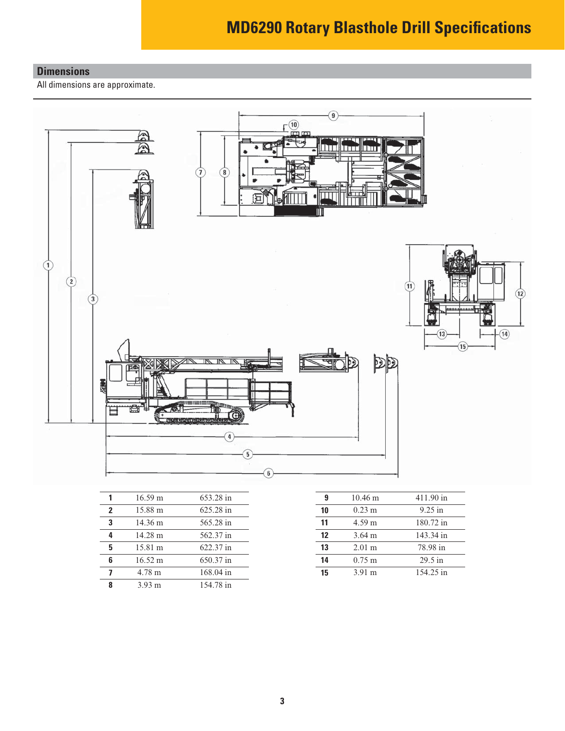### **MD6290 Rotary Blasthole Drill Specifications**

#### **Dimensions**

All dimensions are approximate.



|              | $16.59 \text{ m}$ | 653.28 in | 9  | $10.46 \text{ m}$ | 411.90 in |
|--------------|-------------------|-----------|----|-------------------|-----------|
| $\mathbf{2}$ | 15.88 m           | 625.28 in | 10 | $0.23 \text{ m}$  | $9.25$ in |
| 3            | $14.36 \text{ m}$ | 565.28 in | 11 | $4.59 \text{ m}$  | 180.72 in |
| 4            | 14.28 m           | 562.37 in | 12 | $3.64 \text{ m}$  | 143.34 in |
| 5            | 15.81 m           | 622.37 in | 13 | $2.01 \text{ m}$  | 78.98 in  |
| 6            | $16.52 \text{ m}$ | 650.37 in | 14 | $0.75 \text{ m}$  | $29.5$ in |
| 7            | $4.78 \text{ m}$  | 168.04 in | 15 | $3.91 \text{ m}$  | 154.25 in |
| 8            | $3.93 \text{ m}$  | 154.78 in |    |                   |           |
|              |                   |           |    |                   |           |

| 9  | $10.46 \text{ m}$ | 411.90 in |
|----|-------------------|-----------|
| 10 | $0.23 \text{ m}$  | $9.25$ in |
| 11 | $4.59 \text{ m}$  | 180.72 in |
| 12 | $3.64 \text{ m}$  | 143.34 in |
| 13 | $2.01 \text{ m}$  | 78.98 in  |
| 14 | $0.75 \text{ m}$  | $29.5$ in |
| 15 | $3.91 \text{ m}$  | 154.25 in |